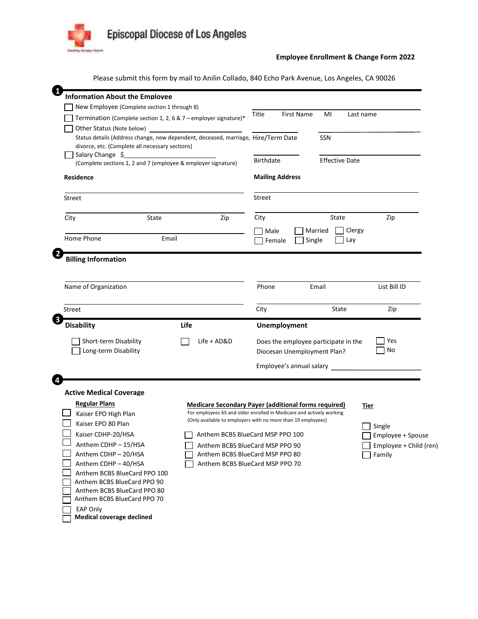

## **Employee Enrollment & Change Form 2022**

Please submit this form by mail to Anilin Collado, 840 Echo Park Avenue, Los Angeles, CA 90026

| -1                                                                                           | <b>Information About the Employee</b>                                                        |                                                                    |                                 |                                                                     |           |        |                        |  |
|----------------------------------------------------------------------------------------------|----------------------------------------------------------------------------------------------|--------------------------------------------------------------------|---------------------------------|---------------------------------------------------------------------|-----------|--------|------------------------|--|
|                                                                                              | New Employee (Complete section 1 through 8)                                                  |                                                                    |                                 |                                                                     |           |        |                        |  |
|                                                                                              | Termination (Complete section 1, 2, 6 & 7 – employer signature)*                             | Title                                                              | First Name                      | MI                                                                  | Last name |        |                        |  |
|                                                                                              | Other Status (Note below)                                                                    |                                                                    |                                 |                                                                     |           |        |                        |  |
|                                                                                              | Status details (Address change, new dependent, deceased, marriage, Hire/Term Date            | SSN                                                                |                                 |                                                                     |           |        |                        |  |
|                                                                                              | divorce, etc. (Complete all necessary sections)                                              |                                                                    |                                 |                                                                     |           |        |                        |  |
|                                                                                              | Salary Change \$<br>(Complete sections 1, 2 and 7 (employee & employer signature)            | <b>Birthdate</b><br><b>Effective Date</b>                          |                                 |                                                                     |           |        |                        |  |
|                                                                                              |                                                                                              |                                                                    |                                 |                                                                     |           |        |                        |  |
|                                                                                              | Residence                                                                                    |                                                                    | <b>Mailing Address</b>          |                                                                     |           |        |                        |  |
|                                                                                              | Street                                                                                       | <b>Street</b>                                                      |                                 |                                                                     |           |        |                        |  |
|                                                                                              | City<br>State                                                                                | Zip                                                                | City                            |                                                                     | State     |        | Zip                    |  |
|                                                                                              |                                                                                              |                                                                    | Male                            |                                                                     | Married   | Clergy |                        |  |
|                                                                                              | Home Phone<br>Email                                                                          |                                                                    | Single<br>Female<br>Lay         |                                                                     |           |        |                        |  |
| $\overline{2}$                                                                               | <b>Billing Information</b>                                                                   |                                                                    |                                 |                                                                     |           |        |                        |  |
|                                                                                              | Name of Organization                                                                         |                                                                    | Phone                           |                                                                     | Email     |        | List Bill ID           |  |
|                                                                                              | Street                                                                                       |                                                                    | City                            |                                                                     | State     |        | Zip                    |  |
| $\bullet$                                                                                    |                                                                                              |                                                                    |                                 |                                                                     |           |        |                        |  |
|                                                                                              | <b>Disability</b>                                                                            | Life                                                               |                                 | Unemployment                                                        |           |        |                        |  |
|                                                                                              | Short-term Disability<br>Long-term Disability                                                | Life + AD&D                                                        |                                 | Does the employee participate in the<br>Diocesan Unemployment Plan? |           |        | Yes<br>No              |  |
|                                                                                              |                                                                                              |                                                                    |                                 | Employee's annual salary                                            |           |        |                        |  |
|                                                                                              |                                                                                              |                                                                    |                                 |                                                                     |           |        |                        |  |
|                                                                                              | <b>Active Medical Coverage</b>                                                               |                                                                    |                                 |                                                                     |           |        |                        |  |
|                                                                                              | <b>Regular Plans</b><br><b>Medicare Secondary Payer (additional forms required)</b><br>Tier  |                                                                    |                                 |                                                                     |           |        |                        |  |
| For employees 65 and older enrolled in Medicare and actively working<br>Kaiser EPO High Plan |                                                                                              |                                                                    |                                 |                                                                     |           |        |                        |  |
|                                                                                              | (Only available to employers with no more than 19 employees)<br>Kaiser EPO 80 Plan<br>Single |                                                                    |                                 |                                                                     |           |        |                        |  |
|                                                                                              | Kaiser CDHP-20/HSA                                                                           | Anthem BCBS BlueCard MSP PPO 100                                   |                                 |                                                                     |           |        | Employee + Spouse      |  |
|                                                                                              | Anthem CDHP - 15/HSA                                                                         | Anthem BCBS BlueCard MSP PPO 90<br>Anthem BCBS BlueCard MSP PPO 80 |                                 |                                                                     |           |        | Employee + Child (ren) |  |
|                                                                                              | Anthem CDHP - 20/HSA<br>Anthem CDHP - 40/HSA                                                 |                                                                    | Anthem BCBS BlueCard MSP PPO 70 |                                                                     |           |        | Family                 |  |
|                                                                                              | Anthem BCBS BlueCard PPO 100                                                                 |                                                                    |                                 |                                                                     |           |        |                        |  |
|                                                                                              | Anthem BCBS BlueCard PPO 90                                                                  |                                                                    |                                 |                                                                     |           |        |                        |  |
|                                                                                              | Anthem BCBS BlueCard PPO 80                                                                  |                                                                    |                                 |                                                                     |           |        |                        |  |
|                                                                                              | Anthem BCBS BlueCard PPO 70                                                                  |                                                                    |                                 |                                                                     |           |        |                        |  |
|                                                                                              | EAP Only<br><b>Medical coverage declined</b>                                                 |                                                                    |                                 |                                                                     |           |        |                        |  |
|                                                                                              |                                                                                              |                                                                    |                                 |                                                                     |           |        |                        |  |